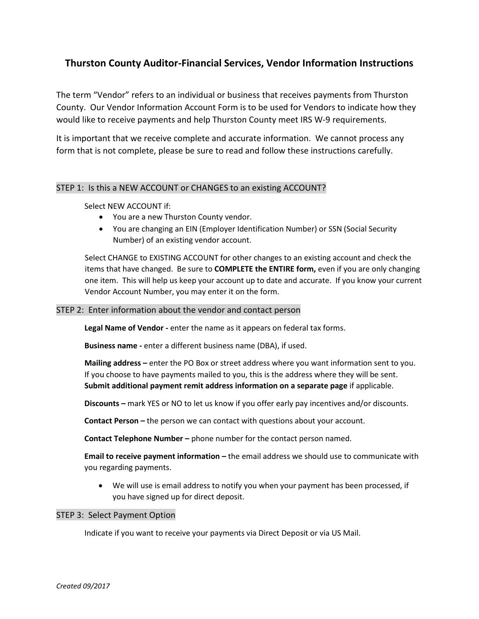# **Thurston County Auditor-Financial Services, Vendor Information Instructions**

The term "Vendor" refers to an individual or business that receives payments from Thurston County. Our Vendor Information Account Form is to be used for Vendors to indicate how they would like to receive payments and help Thurston County meet IRS W-9 requirements.

It is important that we receive complete and accurate information. We cannot process any form that is not complete, please be sure to read and follow these instructions carefully.

## STEP 1: Is this a NEW ACCOUNT or CHANGES to an existing ACCOUNT?

# Select NEW ACCOUNT if:

- You are a new Thurston County vendor.
- You are changing an EIN (Employer Identification Number) or SSN (Social Security Number) of an existing vendor account.

Select CHANGE to EXISTING ACCOUNT for other changes to an existing account and check the items that have changed. Be sure to **COMPLETE the ENTIRE form,** even if you are only changing one item. This will help us keep your account up to date and accurate. If you know your current Vendor Account Number, you may enter it on the form.

## STEP 2: Enter information about the vendor and contact person

**Legal Name of Vendor -** enter the name as it appears on federal tax forms.

**Business name -** enter a different business name (DBA), if used.

**Mailing address –** enter the PO Box or street address where you want information sent to you. If you choose to have payments mailed to you, this is the address where they will be sent. **Submit additional payment remit address information on a separate page** if applicable.

**Discounts –** mark YES or NO to let us know if you offer early pay incentives and/or discounts.

**Contact Person –** the person we can contact with questions about your account.

**Contact Telephone Number –** phone number for the contact person named.

**Email to receive payment information –** the email address we should use to communicate with you regarding payments.

• We will use is email address to notify you when your payment has been processed, if you have signed up for direct deposit.

#### STEP 3: Select Payment Option

Indicate if you want to receive your payments via Direct Deposit or via US Mail.